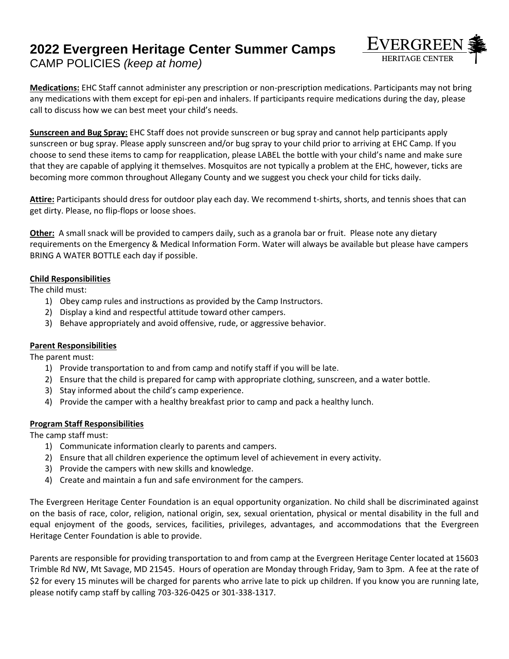# **2022 Evergreen Heritage Center Summer Camps** CAMP POLICIES *(keep at home)*



**Medications:** EHC Staff cannot administer any prescription or non-prescription medications. Participants may not bring any medications with them except for epi-pen and inhalers. If participants require medications during the day, please call to discuss how we can best meet your child's needs.

**Sunscreen and Bug Spray:** EHC Staff does not provide sunscreen or bug spray and cannot help participants apply sunscreen or bug spray. Please apply sunscreen and/or bug spray to your child prior to arriving at EHC Camp. If you choose to send these items to camp for reapplication, please LABEL the bottle with your child's name and make sure that they are capable of applying it themselves. Mosquitos are not typically a problem at the EHC, however, ticks are becoming more common throughout Allegany County and we suggest you check your child for ticks daily.

**Attire:** Participants should dress for outdoor play each day. We recommend t-shirts, shorts, and tennis shoes that can get dirty. Please, no flip-flops or loose shoes.

**Other:** A small snack will be provided to campers daily, such as a granola bar or fruit. Please note any dietary requirements on the Emergency & Medical Information Form. Water will always be available but please have campers BRING A WATER BOTTLE each day if possible.

#### **Child Responsibilities**

The child must:

- 1) Obey camp rules and instructions as provided by the Camp Instructors.
- 2) Display a kind and respectful attitude toward other campers.
- 3) Behave appropriately and avoid offensive, rude, or aggressive behavior.

#### **Parent Responsibilities**

The parent must:

- 1) Provide transportation to and from camp and notify staff if you will be late.
- 2) Ensure that the child is prepared for camp with appropriate clothing, sunscreen, and a water bottle.
- 3) Stay informed about the child's camp experience.
- 4) Provide the camper with a healthy breakfast prior to camp and pack a healthy lunch.

### **Program Staff Responsibilities**

The camp staff must:

- 1) Communicate information clearly to parents and campers.
- 2) Ensure that all children experience the optimum level of achievement in every activity.
- 3) Provide the campers with new skills and knowledge.
- 4) Create and maintain a fun and safe environment for the campers.

The Evergreen Heritage Center Foundation is an equal opportunity organization. No child shall be discriminated against on the basis of race, color, religion, national origin, sex, sexual orientation, physical or mental disability in the full and equal enjoyment of the goods, services, facilities, privileges, advantages, and accommodations that the Evergreen Heritage Center Foundation is able to provide.

Parents are responsible for providing transportation to and from camp at the Evergreen Heritage Center located at 15603 Trimble Rd NW, Mt Savage, MD 21545. Hours of operation are Monday through Friday, 9am to 3pm. A fee at the rate of \$2 for every 15 minutes will be charged for parents who arrive late to pick up children. If you know you are running late, please notify camp staff by calling 703-326-0425 or 301-338-1317.